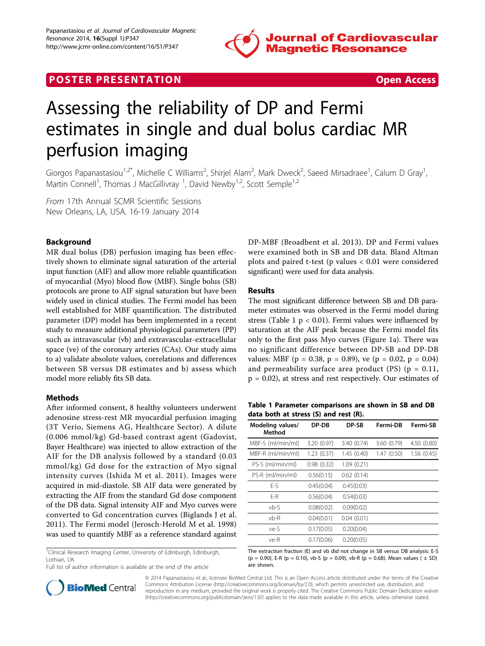

# **POSTER PRESENTATION CONSUMING THE SECOND CONSUMING THE SECOND CONSUMING THE SECOND CONSUMING THE SECOND CONSUMING THE SECOND CONSUMING THE SECOND CONSUMING THE SECOND CONSUMING THE SECOND CONSUMING THE SECOND CONSUMING**



# Assessing the reliability of DP and Fermi estimates in single and dual bolus cardiac MR perfusion imaging

Giorgos Papanastasiou<sup>1,2\*</sup>, Michelle C Williams<sup>2</sup>, Shirjel Alam<sup>2</sup>, Mark Dweck<sup>2</sup>, Saeed Mirsadraee<sup>1</sup>, Calum D Gray<sup>1</sup> , Martin Connell<sup>1</sup>, Thomas J MacGillivray <sup>1</sup>, David Newby<sup>1,2</sup>, Scott Semple<sup>1,2</sup>

From 17th Annual SCMR Scientific Sessions New Orleans, LA, USA. 16-19 January 2014

## Background

MR dual bolus (DB) perfusion imaging has been effectively shown to eliminate signal saturation of the arterial input function (AIF) and allow more reliable quantification of myocardial (Myo) blood flow (MBF). Single bolus (SB) protocols are prone to AIF signal saturation but have been widely used in clinical studies. The Fermi model has been well established for MBF quantification. The distributed parameter (DP) model has been implemented in a recent study to measure additional physiological parameters (PP) such as intravascular (vb) and extravascular-extracellular space (ve) of the coronary arteries (CAs). Our study aims to a) validate absolute values, correlations and differences between SB versus DB estimates and b) assess which model more reliably fits SB data.

### Methods

After informed consent, 8 healthy volunteers underwent adenosine stress-rest MR myocardial perfusion imaging (3T Verio, Siemens AG, Healthcare Sector). A dilute (0.006 mmol/kg) Gd-based contrast agent (Gadovist, Bayer Healthcare) was injected to allow extraction of the AIF for the DB analysis followed by a standard (0.03 mmol/kg) Gd dose for the extraction of Myo signal intensity curves (Ishida M et al. 2011). Images were acquired in mid-diastole. SB AIF data were generated by extracting the AIF from the standard Gd dose component of the DB data. Signal intensity AIF and Myo curves were converted to Gd concentration curves (Biglands J et al. 2011). The Fermi model (Jerosch-Herold M et al. 1998) was used to quantify MBF as a reference standard against

<sup>1</sup>Clinical Research Imaging Center, University of Edinburgh, Edinburgh, Lothian, UK

Full list of author information is available at the end of the article

DP-MBF (Broadbent et al. 2013). DP and Fermi values were examined both in SB and DB data. Bland Altman plots and paired t-test (p values < 0.01 were considered significant) were used for data analysis.

#### Results

The most significant difference between SB and DB parameter estimates was observed in the Fermi model during stress (Table 1  $p < 0.01$ ). Fermi values were influenced by saturation at the AIF peak because the Fermi model fits only to the first pass Myo curves (Figure [1a\)](#page-1-0). There was no significant difference between DP-SB and DP-DB values: MBF ( $p = 0.38$ ,  $p = 0.89$ ), ve ( $p = 0.02$ ,  $p = 0.04$ ) and permeability surface area product  $(PS)$   $(p = 0.11, p)$ p = 0.02), at stress and rest respectively. Our estimates of

Table 1 Parameter comparisons are shown in SB and DB data both at stress (S) and rest (R).

| Modeling values/<br>Method | DP-DB       | DP-SB       | Fermi-DB    | Fermi-SB    |
|----------------------------|-------------|-------------|-------------|-------------|
| MBF-S (ml/min/ml)          | 3.20 (0.97) | 3.40 (0.74) | 3.60 (0.79) | 4.50 (0.80) |
| MBF-R (ml/min/ml)          | 1.23(0.37)  | 1.45(0.40)  | 1.47(0.50)  | 1.56(0.45)  |
| PS-S (ml/min/ml)           | 0.98(0.32)  | 1.09(0.21)  |             |             |
| PS-R (ml/min/ml)           | 0.56(0.15)  | 0.62(0.14)  |             |             |
| $F-S$                      | 0.45(0.04)  | 0.45(0.03)  |             |             |
| F-R                        | 0.56(0.04)  | 0.54(0.03)  |             |             |
| $vb-S$                     | 0.08(0.02)  | 0.09(0.02)  |             |             |
| $vb-R$                     | 0.04(0.01)  | 0.04(0.01)  |             |             |
| ve-S                       | 0.17(0.05)  | 0.20(0.04)  |             |             |
| ve-R                       | 0.17(0.06)  | 0.20(0.05)  |             |             |

The extraction fraction (E) and vb did not change in SB versus DB analysis: E-S (p = 0.90), E-R (p = 0.10), vb-S (p = 0.09), vb-R (p = 0.68). Mean values ( $\pm$  SD) are shown.



© 2014 Papanastasiou et al.; licensee BioMed Central Ltd. This is an Open Access article distributed under the terms of the Creative Commons Attribution License [\(http://creativecommons.org/licenses/by/2.0](http://creativecommons.org/licenses/by/2.0)), which permits unrestricted use, distribution, and reproduction in any medium, provided the original work is properly cited. The Creative Commons Public Domain Dedication waiver [\(http://creativecommons.org/publicdomain/zero/1.0/](http://creativecommons.org/publicdomain/zero/1.0/)) applies to the data made available in this article, unless otherwise stated.